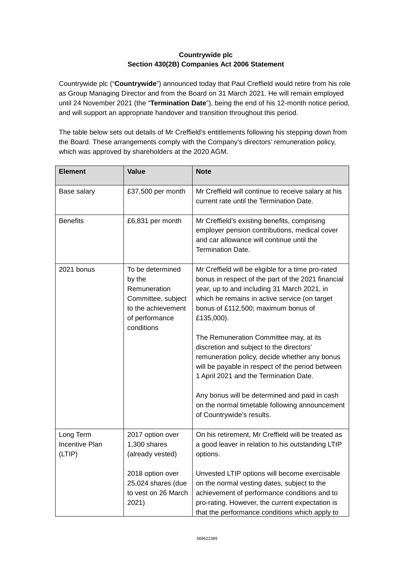## **Countrywide plc Section 430(2B) Companies Act 2006 Statement**

Countrywide plc ("**Countrywide**") announced today that Paul Creffield would retire from his role as Group Managing Director and from the Board on 31 March 2021. He will remain employed until 24 November 2021 (the "**Termination Date**"), being the end of his 12-month notice period, and will support an appropriate handover and transition throughout this period.

The table below sets out details of Mr Creffield's entitlements following his stepping down from the Board. These arrangements comply with the Company's directors' remuneration policy, which was approved by shareholders at the 2020 AGM.

| <b>Element</b>                               | <b>Value</b>                                                                                                           | <b>Note</b>                                                                                                                                                                                                                                                                                                                                                                                                                                                                                                                                                                                                                        |
|----------------------------------------------|------------------------------------------------------------------------------------------------------------------------|------------------------------------------------------------------------------------------------------------------------------------------------------------------------------------------------------------------------------------------------------------------------------------------------------------------------------------------------------------------------------------------------------------------------------------------------------------------------------------------------------------------------------------------------------------------------------------------------------------------------------------|
| Base salary                                  | £37,500 per month                                                                                                      | Mr Creffield will continue to receive salary at his<br>current rate until the Termination Date.                                                                                                                                                                                                                                                                                                                                                                                                                                                                                                                                    |
| <b>Benefits</b>                              | £6,831 per month                                                                                                       | Mr Creffield's existing benefits, comprising<br>employer pension contributions, medical cover<br>and car allowance will continue until the<br>Termination Date.                                                                                                                                                                                                                                                                                                                                                                                                                                                                    |
| 2021 bonus                                   | To be determined<br>by the<br>Remuneration<br>Committee, subject<br>to the achievement<br>of performance<br>conditions | Mr Creffield will be eligible for a time pro-rated<br>bonus in respect of the part of the 2021 financial<br>year, up to and including 31 March 2021, in<br>which he remains in active service (on target<br>bonus of £112,500; maximum bonus of<br>£135,000).<br>The Remuneration Committee may, at its<br>discretion and subject to the directors'<br>remuneration policy, decide whether any bonus<br>will be payable in respect of the period between<br>1 April 2021 and the Termination Date.<br>Any bonus will be determined and paid in cash<br>on the normal timetable following announcement<br>of Countrywide's results. |
| Long Term<br><b>Incentive Plan</b><br>(LTIP) | 2017 option over<br>1,300 shares<br>(already vested)                                                                   | On his retirement, Mr Creffield will be treated as<br>a good leaver in relation to his outstanding LTIP<br>options.                                                                                                                                                                                                                                                                                                                                                                                                                                                                                                                |
|                                              | 2018 option over<br>25,024 shares (due<br>to vest on 26 March<br>2021)                                                 | Unvested LTIP options will become exercisable<br>on the normal vesting dates, subject to the<br>achievement of performance conditions and to<br>pro-rating. However, the current expectation is<br>that the performance conditions which apply to                                                                                                                                                                                                                                                                                                                                                                                  |